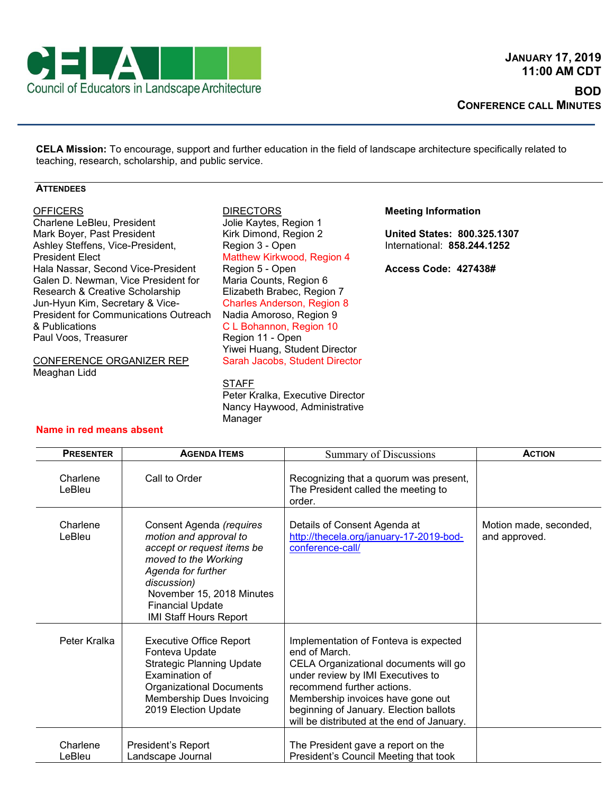

**CELA Mission:** To encourage, support and further education in the field of landscape architecture specifically related to teaching, research, scholarship, and public service.

## **ATTENDEES**

## **OFFICERS**

Charlene LeBleu, President Mark Boyer, Past President Ashley Steffens, Vice-President, President Elect Hala Nassar, Second Vice-President Galen D. Newman, Vice President for Research & Creative Scholarship Jun-Hyun Kim, Secretary & Vice-President for Communications Outreach & Publications Paul Voos, Treasurer

CONFERENCE ORGANIZER REP Meaghan Lidd

**DIRECTORS** Jolie Kaytes, Region 1 Kirk Dimond, Region 2 Region 3 - Open Matthew Kirkwood, Region 4 Region 5 - Open Maria Counts, Region 6 Elizabeth Brabec, Region 7 Charles Anderson, Region 8 Nadia Amoroso, Region 9 C L Bohannon, Region 10 Region 11 - Open Yiwei Huang, Student Director Sarah Jacobs, Student Director

## STAFF

Peter Kralka, Executive Director Nancy Haywood, Administrative Manager

## **Meeting Information**

**United States: 800.325.1307** International: **858.244.1252**

**Access Code: 427438#**

|  |  | Name in red means absent |  |
|--|--|--------------------------|--|
|--|--|--------------------------|--|

| <b>PRESENTER</b>   | <b>AGENDA ITEMS</b>                                                                                                                                                                                                                    | <b>Summary of Discussions</b>                                                                                                                                                                                                                                                                   | <b>ACTION</b>                           |
|--------------------|----------------------------------------------------------------------------------------------------------------------------------------------------------------------------------------------------------------------------------------|-------------------------------------------------------------------------------------------------------------------------------------------------------------------------------------------------------------------------------------------------------------------------------------------------|-----------------------------------------|
| Charlene<br>LeBleu | Call to Order                                                                                                                                                                                                                          | Recognizing that a quorum was present,<br>The President called the meeting to<br>order.                                                                                                                                                                                                         |                                         |
| Charlene<br>LeBleu | Consent Agenda (requires<br>motion and approval to<br>accept or request items be<br>moved to the Working<br>Agenda for further<br>discussion)<br>November 15, 2018 Minutes<br><b>Financial Update</b><br><b>IMI Staff Hours Report</b> | Details of Consent Agenda at<br>http://thecela.org/january-17-2019-bod-<br>conference-call/                                                                                                                                                                                                     | Motion made, seconded,<br>and approved. |
| Peter Kralka       | <b>Executive Office Report</b><br>Fonteva Update<br><b>Strategic Planning Update</b><br>Examination of<br><b>Organizational Documents</b><br>Membership Dues Invoicing<br>2019 Election Update                                         | Implementation of Fonteva is expected<br>end of March.<br>CELA Organizational documents will go<br>under review by IMI Executives to<br>recommend further actions.<br>Membership invoices have gone out<br>beginning of January. Election ballots<br>will be distributed at the end of January. |                                         |
| Charlene<br>LeBleu | President's Report<br>Landscape Journal                                                                                                                                                                                                | The President gave a report on the<br>President's Council Meeting that took                                                                                                                                                                                                                     |                                         |